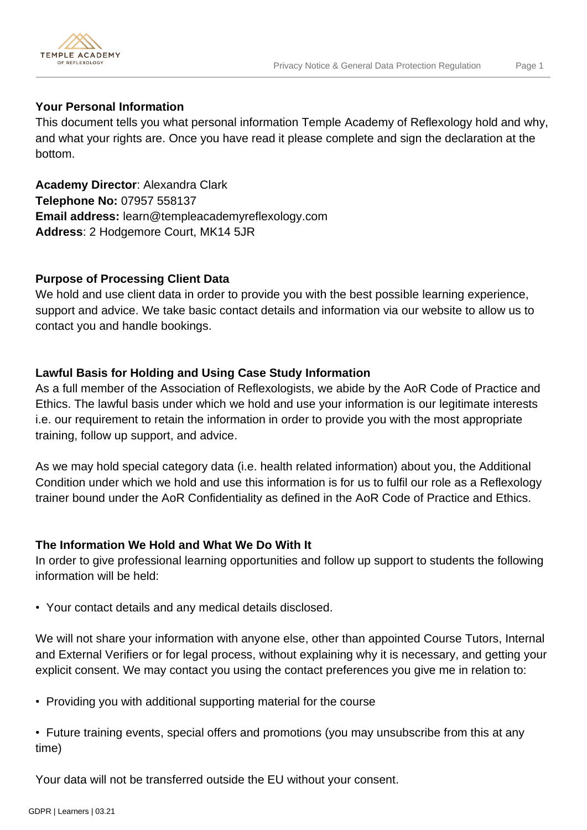

#### **Your Personal Information**

This document tells you what personal information Temple Academy of Reflexology hold and why, and what your rights are. Once you have read it please complete and sign the declaration at the bottom.

**Academy Director**: Alexandra Clark **Telephone No:** 07957 558137 **Email address:** learn@templeacademyreflexology.com **Address**: 2 Hodgemore Court, MK14 5JR

# **Purpose of Processing Client Data**

We hold and use client data in order to provide you with the best possible learning experience, support and advice. We take basic contact details and information via our website to allow us to contact you and handle bookings.

# **Lawful Basis for Holding and Using Case Study Information**

As a full member of the Association of Reflexologists, we abide by the AoR Code of Practice and Ethics. The lawful basis under which we hold and use your information is our legitimate interests i.e. our requirement to retain the information in order to provide you with the most appropriate training, follow up support, and advice.

As we may hold special category data (i.e. health related information) about you, the Additional Condition under which we hold and use this information is for us to fulfil our role as a Reflexology trainer bound under the AoR Confidentiality as defined in the AoR Code of Practice and Ethics.

# **The Information We Hold and What We Do With It**

In order to give professional learning opportunities and follow up support to students the following information will be held:

• Your contact details and any medical details disclosed.

We will not share your information with anyone else, other than appointed Course Tutors, Internal and External Verifiers or for legal process, without explaining why it is necessary, and getting your explicit consent. We may contact you using the contact preferences you give me in relation to:

• Providing you with additional supporting material for the course

• Future training events, special offers and promotions (you may unsubscribe from this at any time)

Your data will not be transferred outside the EU without your consent.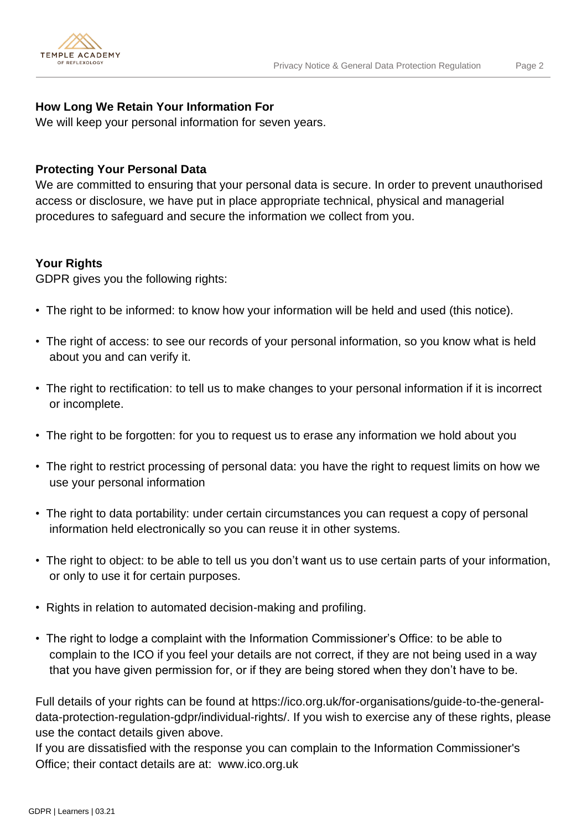

## **How Long We Retain Your Information For**

We will keep your personal information for seven years.

### **Protecting Your Personal Data**

We are committed to ensuring that your personal data is secure. In order to prevent unauthorised access or disclosure, we have put in place appropriate technical, physical and managerial procedures to safeguard and secure the information we collect from you.

#### **Your Rights**

GDPR gives you the following rights:

- The right to be informed: to know how your information will be held and used (this notice).
- The right of access: to see our records of your personal information, so you know what is held about you and can verify it.
- The right to rectification: to tell us to make changes to your personal information if it is incorrect or incomplete.
- The right to be forgotten: for you to request us to erase any information we hold about you
- The right to restrict processing of personal data: you have the right to request limits on how we use your personal information
- The right to data portability: under certain circumstances you can request a copy of personal information held electronically so you can reuse it in other systems.
- The right to object: to be able to tell us you don't want us to use certain parts of your information, or only to use it for certain purposes.
- Rights in relation to automated decision-making and profiling.
- The right to lodge a complaint with the Information Commissioner's Office: to be able to complain to the ICO if you feel your details are not correct, if they are not being used in a way that you have given permission for, or if they are being stored when they don't have to be.

Full details of your rights can be found at https://ico.org.uk/for-organisations/guide-to-the-generaldata-protection-regulation-gdpr/individual-rights/. If you wish to exercise any of these rights, please use the contact details given above.

If you are dissatisfied with the response you can complain to the Information Commissioner's Office; their contact details are at: www.ico.org.uk